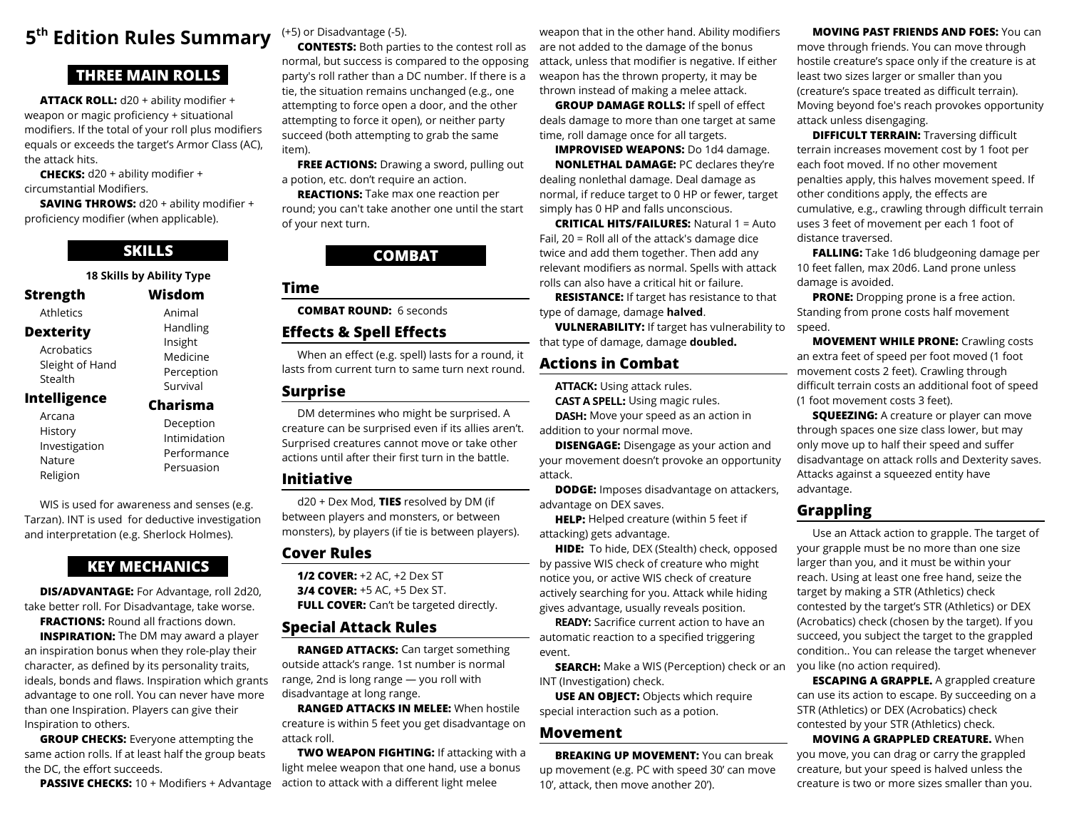# **5 th Edition Rules Summary**

# **THREE MAIN ROLLS**

**ATTACK ROLL:** d20 + ability modifier + weapon or magic proficiency + situational modifers. If the total of your roll plus modifers equals or exceeds the target's Armor Class (AC), the attack hits.

**CHECKS:** d20 + ability modifier + circumstantial Modifers.

**SAVING THROWS:** d20 + ability modifier + proficiency modifier (when applicable).

# **SKILLS**

Handling Insight Medicine Perception Survival **Charisma** Deception Intimidation Performance Persuasion

|                  | <b>18 Skills by Ability Type</b> |
|------------------|----------------------------------|
| Strength         | Wisdom                           |
| <b>Athletics</b> | Animal                           |

# **Dexterity**

Acrobatics Sleight of Hand Stealth

### **Intelligence**

Arcana **History** Investigation Nature Religion

WIS is used for awareness and senses (e.g. Tarzan). INT is used for deductive investigation and interpretation (e.g. Sherlock Holmes).

# **KEY MECHANICS**

**DIS/ADVANTAGE:** For Advantage, roll 2d20, take better roll. For Disadvantage, take worse. **FRACTIONS: Round all fractions down. INSPIRATION:** The DM may award a player

an inspiration bonus when they role-play their character, as defned by its personality traits, ideals, bonds and flaws. Inspiration which grants advantage to one roll. You can never have more than one Inspiration. Players can give their Inspiration to others.

**GROUP CHECKS:** Everyone attempting the same action rolls. If at least half the group beats the DC, the effort succeeds.

**PASSIVE CHECKS:** 10 + Modifiers + Advantage

(+5) or Disadvantage (-5).

**CONTESTS:** Both parties to the contest roll as normal, but success is compared to the opposing party's roll rather than a DC number. If there is a tie, the situation remains unchanged (e.g., one attempting to force open a door, and the other attempting to force it open), or neither party succeed (both attempting to grab the same item).

**FREE ACTIONS:** Drawing a sword, pulling out a potion, etc. don't require an action.

**REACTIONS:** Take max one reaction per round; you can't take another one until the start of your next turn.

## **COMBAT**

## **Time**

**COMBAT ROUND:** 6 seconds

## **Efects & Spell Efects**

When an efect (e.g. spell) lasts for a round, it lasts from current turn to same turn next round.

### **Surprise**

DM determines who might be surprised. A creature can be surprised even if its allies aren't. Surprised creatures cannot move or take other actions until after their first turn in the battle.

### **Initiative**

d20 + Dex Mod, **TIES** resolved by DM (if between players and monsters, or between monsters), by players (if tie is between players).

### **Cover Rules**

**1/2 COVER:** +2 AC, +2 Dex ST **3/4 COVER:** +5 AC, +5 Dex ST. **FULL COVER:** Can't be targeted directly.

# **Special Attack Rules**

**RANGED ATTACKS:** Can target something outside attack's range. 1st number is normal range, 2nd is long range — you roll with disadvantage at long range.

**RANGED ATTACKS IN MELEE:** When hostile creature is within 5 feet you get disadvantage on attack roll.

**TWO WEAPON FIGHTING:** If attacking with a light melee weapon that one hand, use a bonus action to attack with a diferent light melee

weapon that in the other hand. Ability modifiers are not added to the damage of the bonus attack, unless that modifier is negative. If either weapon has the thrown property, it may be thrown instead of making a melee attack.

**GROUP DAMAGE ROLLS: If spell of effect** deals damage to more than one target at same time, roll damage once for all targets.

**IMPROVISED WEAPONS:** Do 1d4 damage. **NONLETHAL DAMAGE:** PC declares they're dealing nonlethal damage. Deal damage as normal, if reduce target to 0 HP or fewer, target simply has 0 HP and falls unconscious.

**CRITICAL HITS/FAILURES:** Natural 1 = Auto Fail, 20 = Roll all of the attack's damage dice twice and add them together. Then add any relevant modifers as normal. Spells with attack rolls can also have a critical hit or failure.

**RESISTANCE:** If target has resistance to that type of damage, damage **halved**.

**VULNERABILITY:** If target has vulnerability to that type of damage, damage **doubled.**

# **Actions in Combat**

**ATTACK:** Using attack rules. **CAST A SPELL:** Using magic rules.

**DASH:** Move your speed as an action in addition to your normal move.

**DISENGAGE:** Disengage as your action and your movement doesn't provoke an opportunity attack.

**DODGE:** Imposes disadvantage on attackers, advantage on DEX saves.

**HELP:** Helped creature (within 5 feet if attacking) gets advantage.

**HIDE:** To hide, DEX (Stealth) check, opposed by passive WIS check of creature who might notice you, or active WIS check of creature actively searching for you. Attack while hiding gives advantage, usually reveals position.

**READY:** Sacrifice current action to have an automatic reaction to a specifed triggering event.

**SEARCH:** Make a WIS (Perception) check or an INT (Investigation) check.

**USE AN OBJECT:** Objects which require special interaction such as a potion.

### **Movement**

**BREAKING UP MOVEMENT:** You can break up movement (e.g. PC with speed 30' can move 10', attack, then move another 20').

**MOVING PAST FRIENDS AND FOES:** You can move through friends. You can move through hostile creature's space only if the creature is at least two sizes larger or smaller than you (creature's space treated as difficult terrain). Moving beyond foe's reach provokes opportunity

**DIFFICULT TERRAIN:** Traversing difficult terrain increases movement cost by 1 foot per each foot moved. If no other movement penalties apply, this halves movement speed. If other conditions apply, the efects are cumulative, e.g., crawling through difficult terrain uses 3 feet of movement per each 1 foot of distance traversed.

attack unless disengaging.

**FALLING:** Take 1d6 bludgeoning damage per 10 feet fallen, max 20d6. Land prone unless damage is avoided.

**PRONE:** Dropping prone is a free action. Standing from prone costs half movement speed.

**MOVEMENT WHILE PRONE: Crawling costs** an extra feet of speed per foot moved (1 foot movement costs 2 feet). Crawling through difficult terrain costs an additional foot of speed (1 foot movement costs 3 feet).

**SQUEEZING:** A creature or player can move through spaces one size class lower, but may only move up to half their speed and suffer disadvantage on attack rolls and Dexterity saves. Attacks against a squeezed entity have advantage.

# **Grappling**

Use an Attack action to grapple. The target of your grapple must be no more than one size larger than you, and it must be within your reach. Using at least one free hand, seize the target by making a STR (Athletics) check contested by the target's STR (Athletics) or DEX (Acrobatics) check (chosen by the target). If you succeed, you subject the target to the grappled condition.. You can release the target whenever you like (no action required).

**ESCAPING A GRAPPLE.** A grappled creature can use its action to escape. By succeeding on a STR (Athletics) or DEX (Acrobatics) check contested by your STR (Athletics) check.

**MOVING A GRAPPLED CREATURE.** When you move, you can drag or carry the grappled creature, but your speed is halved unless the creature is two or more sizes smaller than you.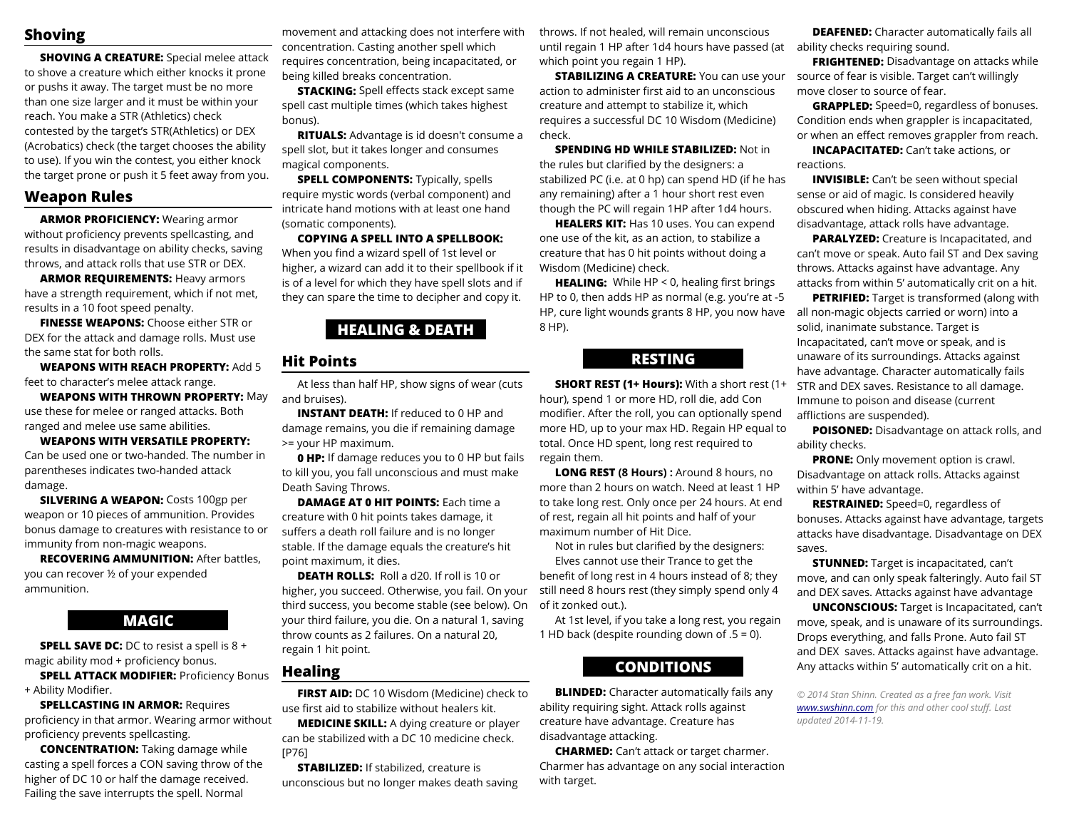## **Shoving**

**SHOVING A CREATURE:** Special melee attack to shove a creature which either knocks it prone or pushs it away. The target must be no more than one size larger and it must be within your reach. You make a STR (Athletics) check contested by the target's STR(Athletics) or DEX (Acrobatics) check (the target chooses the ability to use). If you win the contest, you either knock the target prone or push it 5 feet away from you.

### **Weapon Rules**

**ARMOR PROFICIENCY:** Wearing armor without proficiency prevents spellcasting, and results in disadvantage on ability checks, saving throws, and attack rolls that use STR or DEX.

**ARMOR REQUIREMENTS:** Heavy armors have a strength requirement, which if not met, results in a 10 foot speed penalty.

**FINESSE WEAPONS:** Choose either STR or DEX for the attack and damage rolls. Must use the same stat for both rolls.

**WEAPONS WITH REACH PROPERTY:** Add 5 feet to character's melee attack range.

**WEAPONS WITH THROWN PROPERTY:** May use these for melee or ranged attacks. Both ranged and melee use same abilities.

**WEAPONS WITH VERSATILE PROPERTY:**  Can be used one or two-handed. The number in parentheses indicates two-handed attack damage.

**SILVERING A WEAPON:** Costs 100gp per weapon or 10 pieces of ammunition. Provides bonus damage to creatures with resistance to or immunity from non-magic weapons.

**RECOVERING AMMUNITION: After battles,** you can recover ½ of your expended ammunition.

## **MAGIC**

**SPELL SAVE DC:** DC to resist a spell is 8 + magic ability mod  $+$  proficiency bonus.

**SPELL ATTACK MODIFIER: Proficiency Bonus** + Ability Modifer.

**SPELLCASTING IN ARMOR: Requires** proficiency in that armor. Wearing armor without proficiency prevents spellcasting.

**CONCENTRATION:** Taking damage while casting a spell forces a CON saving throw of the higher of DC 10 or half the damage received. Failing the save interrupts the spell. Normal

movement and attacking does not interfere with concentration. Casting another spell which requires concentration, being incapacitated, or being killed breaks concentration.

**STACKING:** Spell effects stack except same spell cast multiple times (which takes highest bonus).

**RITUALS:** Advantage is id doesn't consume a spell slot, but it takes longer and consumes magical components.

**SPELL COMPONENTS:** Typically, spells require mystic words (verbal component) and intricate hand motions with at least one hand (somatic components).

**COPYING A SPELL INTO A SPELLBOOK:** When you find a wizard spell of 1st level or higher, a wizard can add it to their spellbook if it is of a level for which they have spell slots and if they can spare the time to decipher and copy it.

## **HEALING & DEATH**

### **Hit Points**

At less than half HP, show signs of wear (cuts and bruises).

**INSTANT DEATH:** If reduced to 0 HP and damage remains, you die if remaining damage >= your HP maximum.

**0 HP:** If damage reduces you to 0 HP but fails to kill you, you fall unconscious and must make Death Saving Throws.

**DAMAGE AT 0 HIT POINTS: Each time a** creature with 0 hit points takes damage, it suffers a death roll failure and is no longer stable. If the damage equals the creature's hit point maximum, it dies.

**DEATH ROLLS:** Roll a d20. If roll is 10 or higher, you succeed. Otherwise, you fail. On your third success, you become stable (see below). On your third failure, you die. On a natural 1, saving throw counts as 2 failures. On a natural 20, regain 1 hit point.

## **Healing**

**FIRST AID:** DC 10 Wisdom (Medicine) check to use frst aid to stabilize without healers kit.

**MEDICINE SKILL:** A dying creature or player can be stabilized with a DC 10 medicine check. [P76]

**STABILIZED:** If stabilized, creature is unconscious but no longer makes death saving throws. If not healed, will remain unconscious until regain 1 HP after 1d4 hours have passed (at ability checks requiring sound. which point you regain 1 HP).

**STABILIZING A CREATURE:** You can use your action to administer frst aid to an unconscious creature and attempt to stabilize it, which requires a successful DC 10 Wisdom (Medicine) check.

**SPENDING HD WHILE STABILIZED:** Not in the rules but clarifed by the designers: a stabilized PC (i.e. at 0 hp) can spend HD (if he has any remaining) after a 1 hour short rest even though the PC will regain 1HP after 1d4 hours.

**HEALERS KIT:** Has 10 uses. You can expend one use of the kit, as an action, to stabilize a creature that has 0 hit points without doing a Wisdom (Medicine) check.

**HEALING:** While HP < 0, healing first brings HP to 0, then adds HP as normal (e.g. you're at -5 HP, cure light wounds grants 8 HP, you now have 8 HP).

## **RESTING**

**SHORT REST (1+ Hours):** With a short rest (1+ hour), spend 1 or more HD, roll die, add Con modifer. After the roll, you can optionally spend more HD, up to your max HD. Regain HP equal to total. Once HD spent, long rest required to regain them.

**LONG REST (8 Hours) :** Around 8 hours, no more than 2 hours on watch. Need at least 1 HP to take long rest. Only once per 24 hours. At end of rest, regain all hit points and half of your maximum number of Hit Dice.

Not in rules but clarifed by the designers: Elves cannot use their Trance to get the

beneft of long rest in 4 hours instead of 8; they still need 8 hours rest (they simply spend only 4 of it zonked out.).

At 1st level, if you take a long rest, you regain 1 HD back (despite rounding down of .5 = 0).

## **CONDITIONS**

**BLINDED:** Character automatically fails any ability requiring sight. Attack rolls against creature have advantage. Creature has disadvantage attacking.

**CHARMED:** Can't attack or target charmer. Charmer has advantage on any social interaction with target.

**DEAFENED:** Character automatically fails all

**FRIGHTENED:** Disadvantage on attacks while source of fear is visible. Target can't willingly move closer to source of fear.

**GRAPPLED:** Speed=0, regardless of bonuses. Condition ends when grappler is incapacitated, or when an efect removes grappler from reach.

**INCAPACITATED:** Can't take actions, or reactions.

**INVISIBLE:** Can't be seen without special sense or aid of magic. Is considered heavily obscured when hiding. Attacks against have disadvantage, attack rolls have advantage.

**PARALYZED:** Creature is Incapacitated, and can't move or speak. Auto fail ST and Dex saving throws. Attacks against have advantage. Any attacks from within 5' automatically crit on a hit.

**PETRIFIED:** Target is transformed (along with all non-magic objects carried or worn) into a solid, inanimate substance. Target is Incapacitated, can't move or speak, and is unaware of its surroundings. Attacks against have advantage. Character automatically fails STR and DEX saves. Resistance to all damage. Immune to poison and disease (current afflictions are suspended).

**POISONED:** Disadvantage on attack rolls, and ability checks.

**PRONE:** Only movement option is crawl. Disadvantage on attack rolls. Attacks against within 5' have advantage.

**RESTRAINED:** Speed=0, regardless of bonuses. Attacks against have advantage, targets attacks have disadvantage. Disadvantage on DEX saves.

**STUNNED:** Target is incapacitated, can't move, and can only speak falteringly. Auto fail ST and DEX saves. Attacks against have advantage

**UNCONSCIOUS:** Target is Incapacitated, can't move, speak, and is unaware of its surroundings. Drops everything, and falls Prone. Auto fail ST and DEX saves. Attacks against have advantage. Any attacks within 5' automatically crit on a hit.

*© 2014 Stan Shinn. Created as a free fan work. Visit [www.swshinn.com](http://www.swshinn.com/) for this and other cool stuf. Last updated 2014-11-19.*